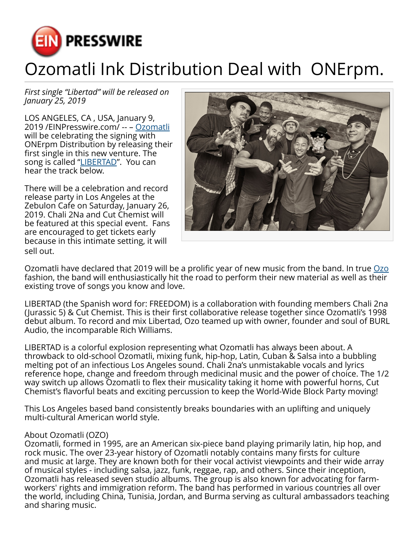

## Ozomatli Ink Distribution Deal with ONErpm.

*First single "Libertad" will be released on January 25, 2019*

LOS ANGELES, CA , USA, January 9, 2019 /[EINPresswire.com](http://www.einpresswire.com)/ -- – [Ozomatli](http://www.ozomatli.com) will be celebrating the signing with ONErpm Distribution by releasing their first single in this new venture. The song is called "[LIBERTAD](http://www.ozomatli.com)". You can hear the track below.

There will be a celebration and record release party in Los Angeles at the Zebulon Cafe on Saturday, January 26, 2019. Chali 2Na and Cut Chemist will be featured at this special event. Fans are encouraged to get tickets early because in this intimate setting, it will sell out.



Ozomatli have declared that 2019 will be a prolific year of new music from the band. In true [Ozo](http://www.ozomatli.com) fashion, the band will enthusiastically hit the road to perform their new material as well as their existing trove of songs you know and love.

LIBERTAD (the Spanish word for: FREEDOM) is a collaboration with founding members Chali 2na (Jurassic 5) & Cut Chemist. This is their first collaborative release together since Ozomatli's 1998 debut album. To record and mix Libertad, Ozo teamed up with owner, founder and soul of BURL Audio, the incomparable Rich Williams.

LIBERTAD is a colorful explosion representing what Ozomatli has always been about. A throwback to old-school Ozomatli, mixing funk, hip-hop, Latin, Cuban & Salsa into a bubbling melting pot of an infectious Los Angeles sound. Chali 2na's unmistakable vocals and lyrics reference hope, change and freedom through medicinal music and the power of choice. The 1/2 way switch up allows Ozomatli to flex their musicality taking it home with powerful horns, Cut Chemist's flavorful beats and exciting percussion to keep the World-Wide Block Party moving!

This Los Angeles based band consistently breaks boundaries with an uplifting and uniquely multi-cultural American world style.

## About Ozomatli (OZO)

Ozomatli, formed in 1995, are an American six-piece band playing primarily latin, hip hop, and rock music. The over 23-year history of Ozomatli notably contains many firsts for culture and music at large. They are known both for their vocal activist viewpoints and their wide array of musical styles - including salsa, jazz, funk, reggae, rap, and others. Since their inception, Ozomatli has released seven studio albums. The group is also known for advocating for farmworkers' rights and immigration reform. The band has performed in various countries all over the world, including China, Tunisia, Jordan, and Burma serving as cultural ambassadors teaching and sharing music.